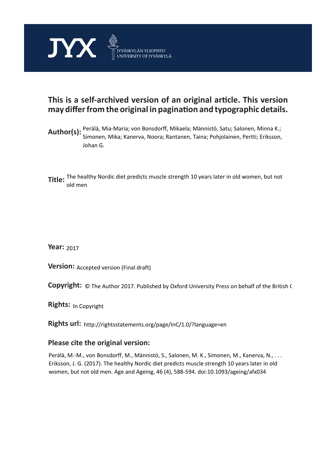

# **This is a self-archived version of an original article. This version may differ from the original in pagination and typographic details.**

- **Author(s):**  Perälä, Mia-Maria; von Bonsdorff, Mikaela; Männistö, Satu; Salonen, Minna K.; Simonen, Mika; Kanerva, Noora; Rantanen, Taina; Pohjolainen, Pertti; Eriksson, Johan G.
- **Title:**  The healthy Nordic diet predicts muscle strength 10 years later in old women, but not old men

**Year:**  2017

**Version: Accepted version (Final draft)** 

**Version:** Accepted version (Final draft)<br>**Copyright:** © The Author 2017. Published by Oxford University Press on behalf of the British (

**Rights:** In Copyright

**Rights url:**  http://rightsstatements.org/page/InC/1.0/?language=en

# **Please cite the original version:**

Perälä, M.-M., von Bonsdorff, M., Männistö, S., Salonen, M. K., Simonen, M., Kanerva, N., . . . Eriksson, J. G. (2017). The healthy Nordic diet predicts muscle strength 10 years later in old women, but not old men. Age and Ageing, 46 (4), 588-594. doi:10.1093/ageing/afx034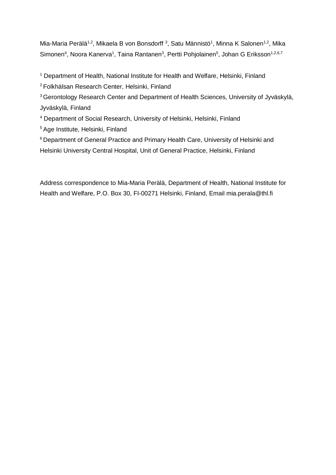Mia-Maria Perälä<sup>1,2</sup>, Mikaela B von Bonsdorff<sup>3</sup>, Satu Männistö<sup>1</sup>, Minna K Salonen<sup>1,2</sup>, Mika Simonen<sup>4</sup>, Noora Kanerva<sup>1</sup>, Taina Rantanen<sup>3</sup>, Pertti Pohjolainen<sup>5</sup>, Johan G Eriksson<sup>1,2,6,7</sup>

<sup>1</sup> Department of Health, National Institute for Health and Welfare, Helsinki, Finland

<sup>2</sup> Folkhälsan Research Center, Helsinki, Finland

<sup>3</sup> Gerontology Research Center and Department of Health Sciences, University of Jyväskylä, Jyväskylä, Finland

<sup>4</sup> Department of Social Research, University of Helsinki, Helsinki, Finland

<sup>5</sup> Age Institute, Helsinki, Finland

<sup>6</sup> Department of General Practice and Primary Health Care, University of Helsinki and Helsinki University Central Hospital, Unit of General Practice, Helsinki, Finland

Address correspondence to Mia-Maria Perälä, Department of Health, National Institute for Health and Welfare, P.O. Box 30, FI-00271 Helsinki, Finland, Email mia.perala@thl.fi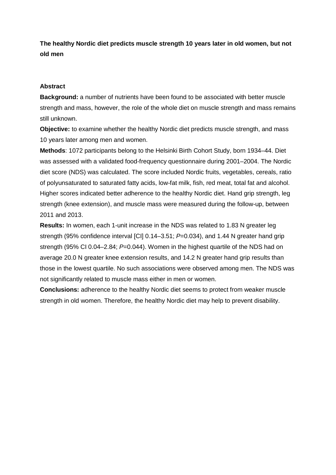**The healthy Nordic diet predicts muscle strength 10 years later in old women, but not old men**

### **Abstract**

**Background:** a number of nutrients have been found to be associated with better muscle strength and mass, however, the role of the whole diet on muscle strength and mass remains still unknown.

**Objective:** to examine whether the healthy Nordic diet predicts muscle strength, and mass 10 years later among men and women.

**Methods**: 1072 participants belong to the Helsinki Birth Cohort Study, born 1934–44. Diet was assessed with a validated food-frequency questionnaire during 2001–2004. The Nordic diet score (NDS) was calculated. The score included Nordic fruits, vegetables, cereals, ratio of polyunsaturated to saturated fatty acids, low-fat milk, fish, red meat, total fat and alcohol. Higher scores indicated better adherence to the healthy Nordic diet. Hand grip strength, leg strength (knee extension), and muscle mass were measured during the follow-up, between 2011 and 2013.

**Results:** In women, each 1-unit increase in the NDS was related to 1.83 N greater leg strength (95% confidence interval [CI] 0.14–3.51; *P*=0.034), and 1.44 N greater hand grip strength (95% CI 0.04–2.84; *P*=0.044). Women in the highest quartile of the NDS had on average 20.0 N greater knee extension results, and 14.2 N greater hand grip results than those in the lowest quartile. No such associations were observed among men. The NDS was not significantly related to muscle mass either in men or women.

**Conclusions:** adherence to the healthy Nordic diet seems to protect from weaker muscle strength in old women. Therefore, the healthy Nordic diet may help to prevent disability.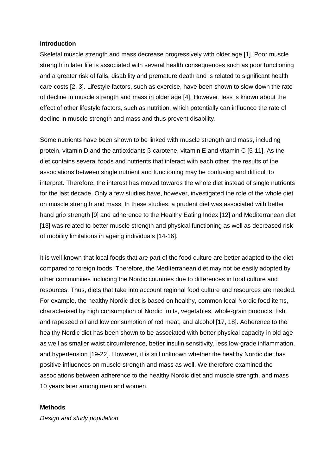#### **Introduction**

Skeletal muscle strength and mass decrease progressively with older age [1]. Poor muscle strength in later life is associated with several health consequences such as poor functioning and a greater risk of falls, disability and premature death and is related to significant health care costs [2, 3]. Lifestyle factors, such as exercise, have been shown to slow down the rate of decline in muscle strength and mass in older age [4]. However, less is known about the effect of other lifestyle factors, such as nutrition, which potentially can influence the rate of decline in muscle strength and mass and thus prevent disability.

Some nutrients have been shown to be linked with muscle strength and mass, including protein, vitamin D and the antioxidants β-carotene, vitamin E and vitamin C [5-11]. As the diet contains several foods and nutrients that interact with each other, the results of the associations between single nutrient and functioning may be confusing and difficult to interpret. Therefore, the interest has moved towards the whole diet instead of single nutrients for the last decade. Only a few studies have, however, investigated the role of the whole diet on muscle strength and mass. In these studies, a prudent diet was associated with better hand grip strength [9] and adherence to the Healthy Eating Index [12] and Mediterranean diet [13] was related to better muscle strength and physical functioning as well as decreased risk of mobility limitations in ageing individuals [14-16].

It is well known that local foods that are part of the food culture are better adapted to the diet compared to foreign foods. Therefore, the Mediterranean diet may not be easily adopted by other communities including the Nordic countries due to differences in food culture and resources. Thus, diets that take into account regional food culture and resources are needed. For example, the healthy Nordic diet is based on healthy, common local Nordic food items, characterised by high consumption of Nordic fruits, vegetables, whole-grain products, fish, and rapeseed oil and low consumption of red meat, and alcohol [17, 18]. Adherence to the healthy Nordic diet has been shown to be associated with better physical capacity in old age as well as smaller waist circumference, better insulin sensitivity, less low-grade inflammation, and hypertension [19-22]. However, it is still unknown whether the healthy Nordic diet has positive influences on muscle strength and mass as well. We therefore examined the associations between adherence to the healthy Nordic diet and muscle strength, and mass 10 years later among men and women.

#### **Methods**

*Design and study population*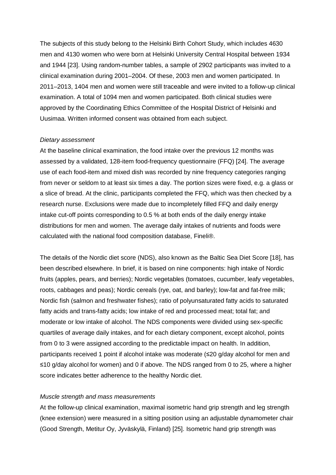The subjects of this study belong to the Helsinki Birth Cohort Study, which includes 4630 men and 4130 women who were born at Helsinki University Central Hospital between 1934 and 1944 [23]. Using random-number tables, a sample of 2902 participants was invited to a clinical examination during 2001–2004. Of these, 2003 men and women participated. In 2011–2013, 1404 men and women were still traceable and were invited to a follow-up clinical examination. A total of 1094 men and women participated. Both clinical studies were approved by the Coordinating Ethics Committee of the Hospital District of Helsinki and Uusimaa. Written informed consent was obtained from each subject.

#### *Dietary assessment*

At the baseline clinical examination, the food intake over the previous 12 months was assessed by a validated, 128-item food-frequency questionnaire (FFQ) [24]. The average use of each food-item and mixed dish was recorded by nine frequency categories ranging from never or seldom to at least six times a day. The portion sizes were fixed, e.g. a glass or a slice of bread. At the clinic, participants completed the FFQ, which was then checked by a research nurse. Exclusions were made due to incompletely filled FFQ and daily energy intake cut-off points corresponding to 0.5 % at both ends of the daily energy intake distributions for men and women. The average daily intakes of nutrients and foods were calculated with the national food composition database, Fineli®.

The details of the Nordic diet score (NDS), also known as the Baltic Sea Diet Score [18], has been described elsewhere. In brief, it is based on nine components: high intake of Nordic fruits (apples, pears, and berries); Nordic vegetables (tomatoes, cucumber, leafy vegetables, roots, cabbages and peas); Nordic cereals (rye, oat, and barley); low-fat and fat-free milk; Nordic fish (salmon and freshwater fishes); ratio of polyunsaturated fatty acids to saturated fatty acids and trans-fatty acids; low intake of red and processed meat; total fat; and moderate or low intake of alcohol. The NDS components were divided using sex-specific quartiles of average daily intakes, and for each dietary component, except alcohol, points from 0 to 3 were assigned according to the predictable impact on health. In addition, participants received 1 point if alcohol intake was moderate (≤20 g/day alcohol for men and ≤10 g/day alcohol for women) and 0 if above. The NDS ranged from 0 to 25, where a higher score indicates better adherence to the healthy Nordic diet.

#### *Muscle strength and mass measurements*

At the follow-up clinical examination, maximal isometric hand grip strength and leg strength (knee extension) were measured in a sitting position using an adjustable dynamometer chair (Good Strength, Metitur Oy, Jyväskylä, Finland) [25]. Isometric hand grip strength was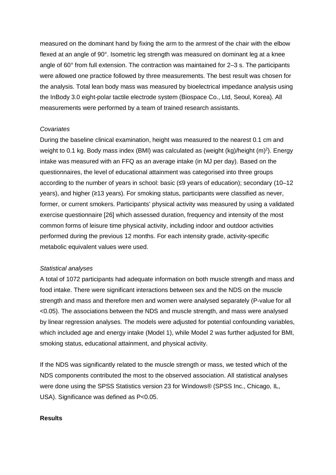measured on the dominant hand by fixing the arm to the armrest of the chair with the elbow flexed at an angle of 90°. Isometric leg strength was measured on dominant leg at a knee angle of 60° from full extension. The contraction was maintained for 2–3 s. The participants were allowed one practice followed by three measurements. The best result was chosen for the analysis. Total lean body mass was measured by bioelectrical impedance analysis using the InBody 3.0 eight-polar tactile electrode system (Biospace Co., Ltd, Seoul, Korea). All measurements were performed by a team of trained research assistants.

#### *Covariates*

During the baseline clinical examination, height was measured to the nearest 0.1 cm and weight to 0.1 kg. Body mass index (BMI) was calculated as (weight (kg)/height (m)<sup>2</sup>). Energy intake was measured with an FFQ as an average intake (in MJ per day). Based on the questionnaires, the level of educational attainment was categorised into three groups according to the number of years in school: basic (≤9 years of education); secondary (10–12 years), and higher (≥13 years). For smoking status, participants were classified as never, former, or current smokers. Participants' physical activity was measured by using a validated exercise questionnaire [26] which assessed duration, frequency and intensity of the most common forms of leisure time physical activity, including indoor and outdoor activities performed during the previous 12 months. For each intensity grade, activity-specific metabolic equivalent values were used.

#### *Statistical analyses*

A total of 1072 participants had adequate information on both muscle strength and mass and food intake. There were significant interactions between sex and the NDS on the muscle strength and mass and therefore men and women were analysed separately (P-value for all <0.05). The associations between the NDS and muscle strength, and mass were analysed by linear regression analyses. The models were adjusted for potential confounding variables, which included age and energy intake (Model 1), while Model 2 was further adjusted for BMI, smoking status, educational attainment, and physical activity.

If the NDS was significantly related to the muscle strength or mass, we tested which of the NDS components contributed the most to the observed association. All statistical analyses were done using the SPSS Statistics version 23 for Windows® (SPSS Inc., Chicago, IL, USA). Significance was defined as P<0.05.

#### **Results**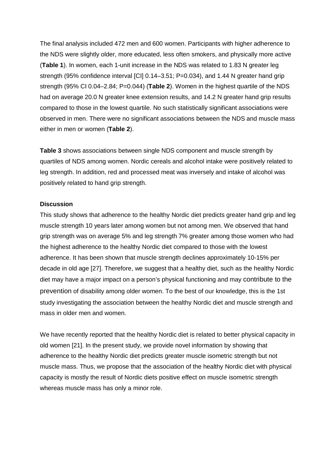The final analysis included 472 men and 600 women. Participants with higher adherence to the NDS were slightly older, more educated, less often smokers, and physically more active (**Table 1**). In women, each 1-unit increase in the NDS was related to 1.83 N greater leg strength (95% confidence interval [CI] 0.14–3.51; P=0.034), and 1.44 N greater hand grip strength (95% CI 0.04–2.84; P=0.044) (**Table 2**). Women in the highest quartile of the NDS had on average 20.0 N greater knee extension results, and 14.2 N greater hand grip results compared to those in the lowest quartile. No such statistically significant associations were observed in men. There were no significant associations between the NDS and muscle mass either in men or women (**Table 2**).

**Table 3** shows associations between single NDS component and muscle strength by quartiles of NDS among women. Nordic cereals and alcohol intake were positively related to leg strength. In addition, red and processed meat was inversely and intake of alcohol was positively related to hand grip strength.

#### **Discussion**

This study shows that adherence to the healthy Nordic diet predicts greater hand grip and leg muscle strength 10 years later among women but not among men. We observed that hand grip strength was on average 5% and leg strength 7% greater among those women who had the highest adherence to the healthy Nordic diet compared to those with the lowest adherence. It has been shown that muscle strength declines approximately 10-15% per decade in old age [27]. Therefore, we suggest that a healthy diet, such as the healthy Nordic diet may have a major impact on a person's physical functioning and may contribute to the prevention of disability among older women. To the best of our knowledge, this is the 1st study investigating the association between the healthy Nordic diet and muscle strength and mass in older men and women.

We have recently reported that the healthy Nordic diet is related to better physical capacity in old women [21]. In the present study, we provide novel information by showing that adherence to the healthy Nordic diet predicts greater muscle isometric strength but not muscle mass. Thus, we propose that the association of the healthy Nordic diet with physical capacity is mostly the result of Nordic diets positive effect on muscle isometric strength whereas muscle mass has only a minor role.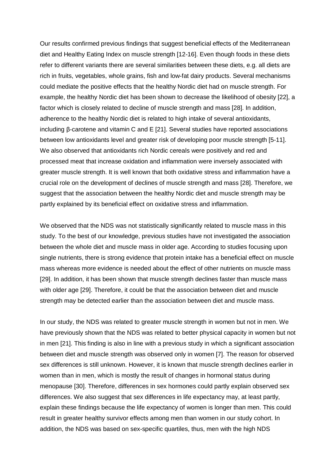Our results confirmed previous findings that suggest beneficial effects of the Mediterranean diet and Healthy Eating Index on muscle strength [12-16]. Even though foods in these diets refer to different variants there are several similarities between these diets, e.g. all diets are rich in fruits, vegetables, whole grains, fish and low-fat dairy products. Several mechanisms could mediate the positive effects that the healthy Nordic diet had on muscle strength. For example, the healthy Nordic diet has been shown to decrease the likelihood of obesity [22], a factor which is closely related to decline of muscle strength and mass [28]. In addition, adherence to the healthy Nordic diet is related to high intake of several antioxidants, including β-carotene and vitamin C and E [21]. Several studies have reported associations between low antioxidants level and greater risk of developing poor muscle strength [5-11]. We also observed that antioxidants rich Nordic cereals were positively and red and processed meat that increase oxidation and inflammation were inversely associated with greater muscle strength. It is well known that both oxidative stress and inflammation have a crucial role on the development of declines of muscle strength and mass [28]. Therefore, we suggest that the association between the healthy Nordic diet and muscle strength may be partly explained by its beneficial effect on oxidative stress and inflammation.

We observed that the NDS was not statistically significantly related to muscle mass in this study. To the best of our knowledge, previous studies have not investigated the association between the whole diet and muscle mass in older age. According to studies focusing upon single nutrients, there is strong evidence that protein intake has a beneficial effect on muscle mass whereas more evidence is needed about the effect of other nutrients on muscle mass [29]. In addition, it has been shown that muscle strength declines faster than muscle mass with older age [29]. Therefore, it could be that the association between diet and muscle strength may be detected earlier than the association between diet and muscle mass.

In our study, the NDS was related to greater muscle strength in women but not in men. We have previously shown that the NDS was related to better physical capacity in women but not in men [21]. This finding is also in line with a previous study in which a significant association between diet and muscle strength was observed only in women [7]. The reason for observed sex differences is still unknown. However, it is known that muscle strength declines earlier in women than in men, which is mostly the result of changes in hormonal status during menopause [30]. Therefore, differences in sex hormones could partly explain observed sex differences. We also suggest that sex differences in life expectancy may, at least partly, explain these findings because the life expectancy of women is longer than men. This could result in greater healthy survivor effects among men than women in our study cohort. In addition, the NDS was based on sex-specific quartiles, thus, men with the high NDS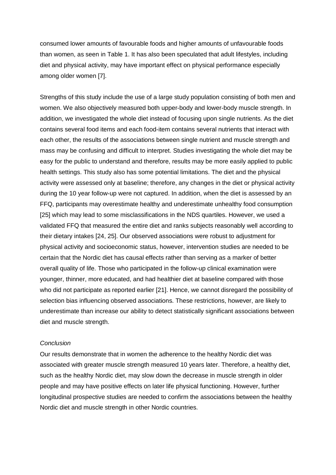consumed lower amounts of favourable foods and higher amounts of unfavourable foods than women, as seen in Table 1. It has also been speculated that adult lifestyles, including diet and physical activity, may have important effect on physical performance especially among older women [7].

Strengths of this study include the use of a large study population consisting of both men and women. We also objectively measured both upper-body and lower-body muscle strength. In addition, we investigated the whole diet instead of focusing upon single nutrients. As the diet contains several food items and each food-item contains several nutrients that interact with each other, the results of the associations between single nutrient and muscle strength and mass may be confusing and difficult to interpret. Studies investigating the whole diet may be easy for the public to understand and therefore, results may be more easily applied to public health settings. This study also has some potential limitations. The diet and the physical activity were assessed only at baseline; therefore, any changes in the diet or physical activity during the 10 year follow-up were not captured. In addition, when the diet is assessed by an FFQ, participants may overestimate healthy and underestimate unhealthy food consumption [25] which may lead to some misclassifications in the NDS quartiles. However, we used a validated FFQ that measured the entire diet and ranks subjects reasonably well according to their dietary intakes [24, 25]. Our observed associations were robust to adjustment for physical activity and socioeconomic status, however, intervention studies are needed to be certain that the Nordic diet has causal effects rather than serving as a marker of better overall quality of life. Those who participated in the follow-up clinical examination were younger, thinner, more educated, and had healthier diet at baseline compared with those who did not participate as reported earlier [21]. Hence, we cannot disregard the possibility of selection bias influencing observed associations. These restrictions, however, are likely to underestimate than increase our ability to detect statistically significant associations between diet and muscle strength.

#### *Conclusion*

Our results demonstrate that in women the adherence to the healthy Nordic diet was associated with greater muscle strength measured 10 years later. Therefore, a healthy diet, such as the healthy Nordic diet, may slow down the decrease in muscle strength in older people and may have positive effects on later life physical functioning. However, further longitudinal prospective studies are needed to confirm the associations between the healthy Nordic diet and muscle strength in other Nordic countries.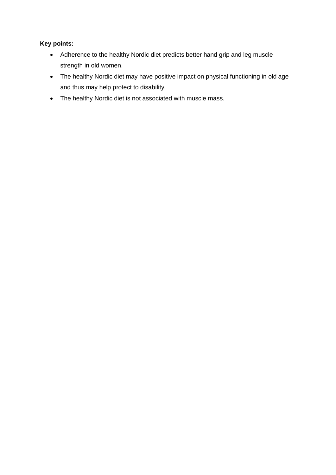# **Key points:**

- · Adherence to the healthy Nordic diet predicts better hand grip and leg muscle strength in old women.
- · The healthy Nordic diet may have positive impact on physical functioning in old age and thus may help protect to disability.
- · The healthy Nordic diet is not associated with muscle mass.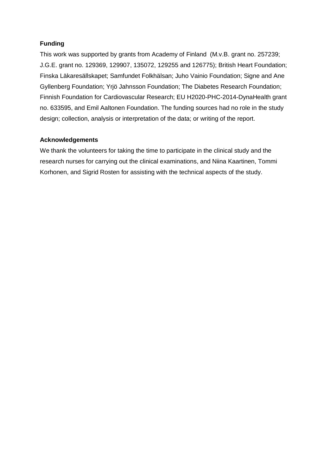# **Funding**

This work was supported by grants from Academy of Finland (M.v.B. grant no. 257239; J.G.E. grant no. 129369, 129907, 135072, 129255 and 126775); British Heart Foundation; Finska Läkaresällskapet; Samfundet Folkhälsan; Juho Vainio Foundation; Signe and Ane Gyllenberg Foundation; Yrjö Jahnsson Foundation; The Diabetes Research Foundation; Finnish Foundation for Cardiovascular Research; EU H2020-PHC-2014-DynaHealth grant no. 633595, and Emil Aaltonen Foundation. The funding sources had no role in the study design; collection, analysis or interpretation of the data; or writing of the report.

# **Acknowledgements**

We thank the volunteers for taking the time to participate in the clinical study and the research nurses for carrying out the clinical examinations, and Niina Kaartinen, Tommi Korhonen, and Sigrid Rosten for assisting with the technical aspects of the study.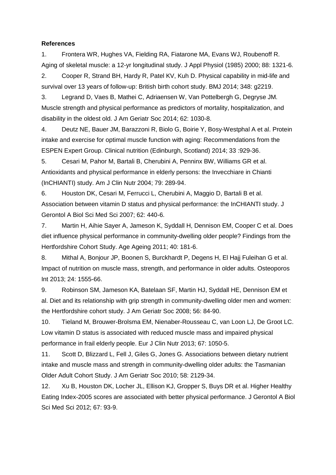#### **References**

1. Frontera WR, Hughes VA, Fielding RA, Fiatarone MA, Evans WJ, Roubenoff R. Aging of skeletal muscle: a 12-yr longitudinal study. J Appl Physiol (1985) 2000; 88: 1321-6.

2. Cooper R, Strand BH, Hardy R, Patel KV, Kuh D. Physical capability in mid-life and survival over 13 years of follow-up: British birth cohort study. BMJ 2014; 348: g2219.

3. Legrand D, Vaes B, Mathei C, Adriaensen W, Van Pottelbergh G, Degryse JM. Muscle strength and physical performance as predictors of mortality, hospitalization, and disability in the oldest old. J Am Geriatr Soc 2014; 62: 1030-8.

4. Deutz NE, Bauer JM, Barazzoni R, Biolo G, Boirie Y, Bosy-Westphal A et al. Protein intake and exercise for optimal muscle function with aging: Recommendations from the ESPEN Expert Group. Clinical nutrition (Edinburgh, Scotland) 2014; 33 :929-36.

5. Cesari M, Pahor M, Bartali B, Cherubini A, Penninx BW, Williams GR et al. Antioxidants and physical performance in elderly persons: the Invecchiare in Chianti (InCHIANTI) study. Am J Clin Nutr 2004; 79: 289-94.

6. Houston DK, Cesari M, Ferrucci L, Cherubini A, Maggio D, Bartali B et al. Association between vitamin D status and physical performance: the InCHIANTI study. J Gerontol A Biol Sci Med Sci 2007; 62: 440-6.

7. Martin H, Aihie Sayer A, Jameson K, Syddall H, Dennison EM, Cooper C et al. Does diet influence physical performance in community-dwelling older people? Findings from the Hertfordshire Cohort Study. Age Ageing 2011; 40: 181-6.

8. Mithal A, Bonjour JP, Boonen S, Burckhardt P, Degens H, El Hajj Fuleihan G et al. Impact of nutrition on muscle mass, strength, and performance in older adults. Osteoporos Int 2013; 24: 1555-66.

9. Robinson SM, Jameson KA, Batelaan SF, Martin HJ, Syddall HE, Dennison EM et al. Diet and its relationship with grip strength in community-dwelling older men and women: the Hertfordshire cohort study. J Am Geriatr Soc 2008; 56: 84-90.

10. Tieland M, Brouwer-Brolsma EM, Nienaber-Rousseau C, van Loon LJ, De Groot LC. Low vitamin D status is associated with reduced muscle mass and impaired physical performance in frail elderly people. Eur J Clin Nutr 2013; 67: 1050-5.

11. Scott D, Blizzard L, Fell J, Giles G, Jones G. Associations between dietary nutrient intake and muscle mass and strength in community-dwelling older adults: the Tasmanian Older Adult Cohort Study. J Am Geriatr Soc 2010; 58: 2129-34.

12. Xu B, Houston DK, Locher JL, Ellison KJ, Gropper S, Buys DR et al. Higher Healthy Eating Index-2005 scores are associated with better physical performance. J Gerontol A Biol Sci Med Sci 2012; 67: 93-9.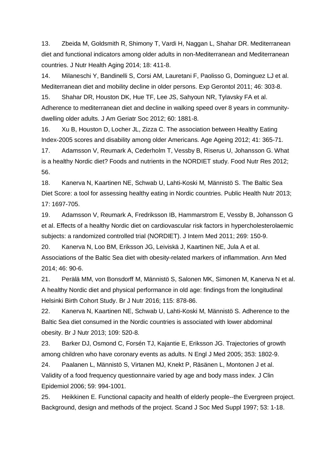13. Zbeida M, Goldsmith R, Shimony T, Vardi H, Naggan L, Shahar DR. Mediterranean diet and functional indicators among older adults in non-Mediterranean and Mediterranean countries. J Nutr Health Aging 2014; 18: 411-8.

14. Milaneschi Y, Bandinelli S, Corsi AM, Lauretani F, Paolisso G, Dominguez LJ et al. Mediterranean diet and mobility decline in older persons. Exp Gerontol 2011; 46: 303-8.

15. Shahar DR, Houston DK, Hue TF, Lee JS, Sahyoun NR, Tylavsky FA et al. Adherence to mediterranean diet and decline in walking speed over 8 years in communitydwelling older adults. J Am Geriatr Soc 2012; 60: 1881-8.

16. Xu B, Houston D, Locher JL, Zizza C. The association between Healthy Eating Index-2005 scores and disability among older Americans. Age Ageing 2012; 41: 365-71.

17. Adamsson V, Reumark A, Cederholm T, Vessby B, Riserus U, Johansson G. What is a healthy Nordic diet? Foods and nutrients in the NORDIET study. Food Nutr Res 2012; 56.

18. Kanerva N, Kaartinen NE, Schwab U, Lahti-Koski M, Männistö S. The Baltic Sea Diet Score: a tool for assessing healthy eating in Nordic countries. Public Health Nutr 2013; 17: 1697-705.

19. Adamsson V, Reumark A, Fredriksson IB, Hammarstrom E, Vessby B, Johansson G et al. Effects of a healthy Nordic diet on cardiovascular risk factors in hypercholesterolaemic subjects: a randomized controlled trial (NORDIET). J Intern Med 2011; 269: 150-9.

20. Kanerva N, Loo BM, Eriksson JG, Leiviskä J, Kaartinen NE, Jula A et al. Associations of the Baltic Sea diet with obesity-related markers of inflammation. Ann Med 2014; 46: 90-6.

21. Perälä MM, von Bonsdorff M, Männistö S, Salonen MK, Simonen M, Kanerva N et al. A healthy Nordic diet and physical performance in old age: findings from the longitudinal Helsinki Birth Cohort Study. Br J Nutr 2016; 115: 878-86.

22. Kanerva N, Kaartinen NE, Schwab U, Lahti-Koski M, Männistö S. Adherence to the Baltic Sea diet consumed in the Nordic countries is associated with lower abdominal obesity. Br J Nutr 2013; 109: 520-8.

23. Barker DJ, Osmond C, Forsén TJ, Kajantie E, Eriksson JG. Trajectories of growth among children who have coronary events as adults. N Engl J Med 2005; 353: 1802-9.

24. Paalanen L, Männistö S, Virtanen MJ, Knekt P, Räsänen L, Montonen J et al. Validity of a food frequency questionnaire varied by age and body mass index. J Clin Epidemiol 2006; 59: 994-1001.

25. Heikkinen E. Functional capacity and health of elderly people--the Evergreen project. Background, design and methods of the project. Scand J Soc Med Suppl 1997; 53: 1-18.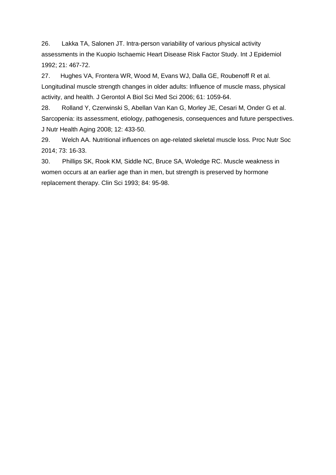26. Lakka TA, Salonen JT. Intra-person variability of various physical activity assessments in the Kuopio Ischaemic Heart Disease Risk Factor Study. Int J Epidemiol 1992; 21: 467-72.

27. Hughes VA, Frontera WR, Wood M, Evans WJ, Dalla GE, Roubenoff R et al. Longitudinal muscle strength changes in older adults: Influence of muscle mass, physical activity, and health. J Gerontol A Biol Sci Med Sci 2006; 61: 1059-64.

28. Rolland Y, Czerwinski S, Abellan Van Kan G, Morley JE, Cesari M, Onder G et al. Sarcopenia: its assessment, etiology, pathogenesis, consequences and future perspectives. J Nutr Health Aging 2008; 12: 433-50.

29. Welch AA. Nutritional influences on age-related skeletal muscle loss. Proc Nutr Soc 2014; 73: 16-33.

30. Phillips SK, Rook KM, Siddle NC, Bruce SA, Woledge RC. Muscle weakness in women occurs at an earlier age than in men, but strength is preserved by hormone replacement therapy. Clin Sci 1993; 84: 95-98.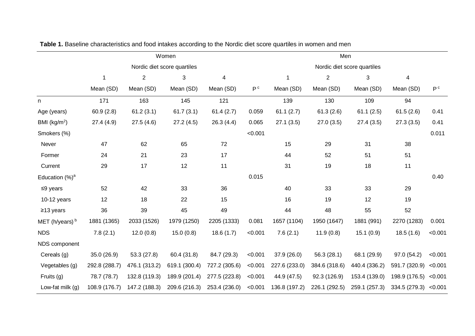| Women                       |                |               |               | Men                         |               |                |               |                       |                |
|-----------------------------|----------------|---------------|---------------|-----------------------------|---------------|----------------|---------------|-----------------------|----------------|
| Nordic diet score quartiles |                |               |               | Nordic diet score quartiles |               |                |               |                       |                |
| $\mathbf{1}$                | $\overline{2}$ | 3             | 4             |                             | $\mathbf{1}$  | $\overline{2}$ | 3             | 4                     |                |
| Mean (SD)                   | Mean (SD)      | Mean (SD)     | Mean (SD)     | P <sup>c</sup>              | Mean (SD)     | Mean (SD)      | Mean (SD)     | Mean (SD)             | P <sup>c</sup> |
| 171                         | 163            | 145           | 121           |                             | 139           | 130            | 109           | 94                    |                |
| 60.9(2.8)                   | 61.2(3.1)      | 61.7(3.1)     | 61.4(2.7)     | 0.059                       | 61.1(2.7)     | 61.3(2.6)      | 61.1(2.5)     | 61.5(2.6)             | 0.41           |
| 27.4 (4.9)                  | 27.5(4.6)      | 27.2(4.5)     | 26.3(4.4)     | 0.065                       | 27.1(3.5)     | 27.0(3.5)      | 27.4(3.5)     | 27.3(3.5)             | 0.41           |
|                             |                |               |               | < 0.001                     |               |                |               |                       | 0.011          |
| 47                          | 62             | 65            | 72            |                             | 15            | 29             | 31            | 38                    |                |
| 24                          | 21             | 23            | 17            |                             | 44            | 52             | 51            | 51                    |                |
| 29                          | 17             | 12            | 11            |                             | 31            | 19             | 18            | 11                    |                |
|                             |                |               |               | 0.015                       |               |                |               |                       | 0.40           |
| 52                          | 42             | 33            | 36            |                             | 40            | 33             | 33            | 29                    |                |
| 12                          | 18             | 22            | 15            |                             | 16            | 19             | 12            | 19                    |                |
| 36                          | 39             | 45            | 49            |                             | 44            | 48             | 55            | 52                    |                |
| 1881 (1365)                 | 2033 (1526)    | 1979 (1250)   | 2205 (1333)   | 0.081                       | 1657 (1104)   | 1950 (1647)    | 1881 (991)    | 2270 (1283)           | 0.001          |
| 7.8(2.1)                    | 12.0(0.8)      | 15.0(0.8)     | 18.6(1.7)     | < 0.001                     | 7.6(2.1)      | 11.9(0.8)      | 15.1(0.9)     | 18.5(1.6)             | < 0.001        |
|                             |                |               |               |                             |               |                |               |                       |                |
| 35.0 (26.9)                 | 53.3(27.8)     | 60.4 (31.8)   | 84.7 (29.3)   | < 0.001                     | 37.9 (26.0)   | 56.3(28.1)     | 68.1 (29.9)   | 97.0 (54.2)           | < 0.001        |
| 292.8 (288.7)               | 476.1 (313.2)  | 619.1 (300.4) | 727.2 (305.6) | < 0.001                     | 227.6 (233.0) | 384.6 (318.6)  | 440.4 (336.2) | 591.7 (320.9)         | < 0.001        |
| 78.7 (78.7)                 | 132.8 (119.3)  | 189.9 (201.4) | 277.5 (223.8) | < 0.001                     | 44.9 (47.5)   | 92.3 (126.9)   | 153.4 (139.0) | 198.9 (176.5)         | < 0.001        |
| 108.9 (176.7)               | 147.2 (188.3)  | 209.6 (216.3) | 253.4 (236.0) | < 0.001                     | 136.8 (197.2) | 226.1 (292.5)  | 259.1 (257.3) | 334.5 (279.3) < 0.001 |                |
|                             |                |               |               |                             |               |                |               |                       |                |

**Table 1.** Baseline characteristics and food intakes according to the Nordic diet score quartiles in women and men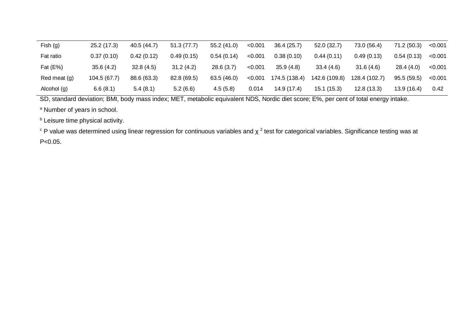| Fish (g)     | 25.2 (17.3)  | 40.5 (44.7) | 51.3(77.7)  | 55.2(41.0) | < 0.001 | 36.4(25.7)    | 52.0(32.7)    | 73.0 (56.4)   | 71.2 (50.3) | < 0.001 |
|--------------|--------------|-------------|-------------|------------|---------|---------------|---------------|---------------|-------------|---------|
| Fat ratio    | 0.37(0.10)   | 0.42(0.12)  | 0.49(0.15)  | 0.54(0.14) | < 0.001 | 0.38(0.10)    | 0.44(0.11)    | 0.49(0.13)    | 0.54(0.13)  | < 0.001 |
| Fat $(E%)$   | 35.6(4.2)    | 32.8(4.5)   | 31.2(4.2)   | 28.6(3.7)  | < 0.001 | 35.9(4.8)     | 33.4(4.6)     | 31.6(4.6)     | 28.4(4.0)   | < 0.001 |
| Red meat (g) | 104.5 (67.7) | 88.6 (63.3) | 82.8 (69.5) | 63.5(46.0) | < 0.001 | 174.5 (138.4) | 142.6 (109.8) | 128.4 (102.7) | 95.5(59.5)  | < 0.001 |
| Alcohol (g)  | 6.6(8.1)     | 5.4(8.1)    | 5.2(6.6)    | 4.5(5.8)   | 0.014   | 14.9 (17.4)   | 15.1(15.3)    | 12.8(13.3)    | 13.9(16.4)  | 0.42    |

SD, standard deviation; BMI, body mass index; MET, metabolic equivalent NDS, Nordic diet score; E%, per cent of total energy intake.

<sup>a</sup> Number of years in school.

**b** Leisure time physical activity.

 $\degree$  P value was determined using linear regression for continuous variables and χ  $^2$  test for categorical variables. Significance testing was at P<0.05.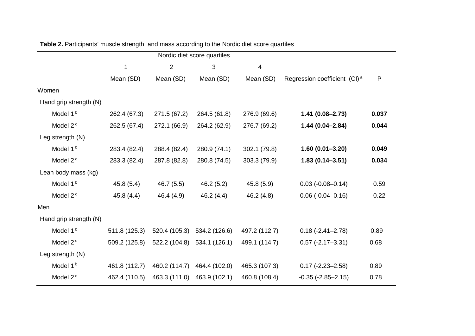| Nordic diet score quartiles |               |                |               |                |                                          |       |  |
|-----------------------------|---------------|----------------|---------------|----------------|------------------------------------------|-------|--|
|                             | $\mathbf{1}$  | $\overline{2}$ | 3             | $\overline{4}$ |                                          |       |  |
|                             | Mean (SD)     | Mean (SD)      | Mean (SD)     | Mean (SD)      | Regression coefficient (CI) <sup>a</sup> | P     |  |
| Women                       |               |                |               |                |                                          |       |  |
| Hand grip strength (N)      |               |                |               |                |                                          |       |  |
| Model 1 <sup>b</sup>        | 262.4 (67.3)  | 271.5 (67.2)   | 264.5 (61.8)  | 276.9 (69.6)   | $1.41(0.08 - 2.73)$                      | 0.037 |  |
| Model 2 <sup>c</sup>        | 262.5 (67.4)  | 272.1 (66.9)   | 264.2 (62.9)  | 276.7 (69.2)   | $1.44(0.04 - 2.84)$                      | 0.044 |  |
| Leg strength (N)            |               |                |               |                |                                          |       |  |
| Model 1 <sup>b</sup>        | 283.4 (82.4)  | 288.4 (82.4)   | 280.9 (74.1)  | 302.1 (79.8)   | $1.60(0.01 - 3.20)$                      | 0.049 |  |
| Model 2 <sup>c</sup>        | 283.3 (82.4)  | 287.8 (82.8)   | 280.8 (74.5)  | 303.3 (79.9)   | $1.83(0.14 - 3.51)$                      | 0.034 |  |
| Lean body mass (kg)         |               |                |               |                |                                          |       |  |
| Model 1 <sup>b</sup>        | 45.8(5.4)     | 46.7(5.5)      | 46.2(5.2)     | 45.8 (5.9)     | $0.03$ ( $-0.08 - 0.14$ )                | 0.59  |  |
| Model 2 <sup>c</sup>        | 45.8(4.4)     | 46.4 (4.9)     | 46.2 (4.4)    | 46.2 (4.8)     | $0.06$ ( $-0.04 - 0.16$ )                | 0.22  |  |
| Men                         |               |                |               |                |                                          |       |  |
| Hand grip strength (N)      |               |                |               |                |                                          |       |  |
| Model 1 <sup>b</sup>        | 511.8 (125.3) | 520.4 (105.3)  | 534.2 (126.6) | 497.2 (112.7)  | $0.18(-2.41 - 2.78)$                     | 0.89  |  |
| Model 2 <sup>c</sup>        | 509.2 (125.8) | 522.2 (104.8)  | 534.1 (126.1) | 499.1 (114.7)  | $0.57$ (-2.17-3.31)                      | 0.68  |  |
| Leg strength (N)            |               |                |               |                |                                          |       |  |
| Model 1 <sup>b</sup>        | 461.8 (112.7) | 460.2 (114.7)  | 464.4 (102.0) | 465.3 (107.3)  | $0.17$ (-2.23-2.58)                      | 0.89  |  |
| Model 2 <sup>c</sup>        | 462.4 (110.5) | 463.3 (111.0)  | 463.9 (102.1) | 460.8 (108.4)  | $-0.35$ $(-2.85 - 2.15)$                 | 0.78  |  |
|                             |               |                |               |                |                                          |       |  |

**Table 2.** Participants' muscle strength and mass according to the Nordic diet score quartiles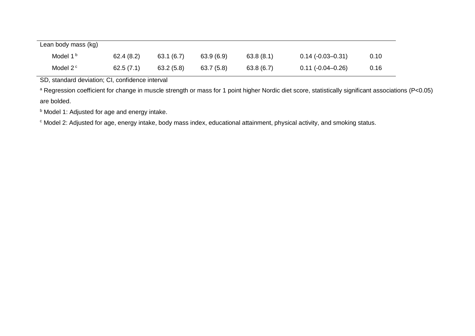| Lean body mass (kg)  |           |           |           |           |                       |      |
|----------------------|-----------|-----------|-----------|-----------|-----------------------|------|
| Model 1 <sup>b</sup> | 62.4(8.2) | 63.1(6.7) | 63.9(6.9) | 63.8(8.1) | $0.14(-0.03-0.31)$    | 0.10 |
| Model 2 <sup>c</sup> | 62.5(7.1) | 63.2(5.8) | 63.7(5.8) | 63.8(6.7) | $0.11 (-0.04 - 0.26)$ | 0.16 |

SD, standard deviation; CI, confidence interval

<sup>a</sup> Regression coefficient for change in muscle strength or mass for 1 point higher Nordic diet score, statistically significant associations (P<0.05) are bolded.

**b** Model 1: Adjusted for age and energy intake.

c Model 2: Adjusted for age, energy intake, body mass index, educational attainment, physical activity, and smoking status.